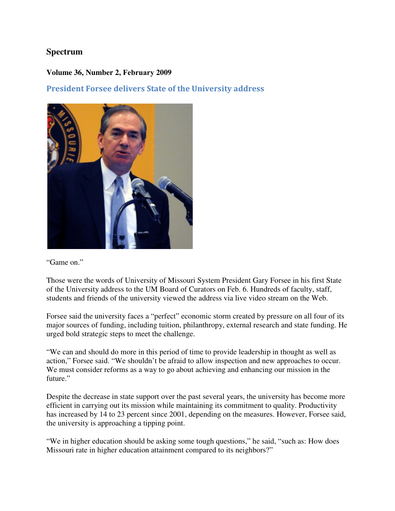# **Spectrum**

#### **Volume 36, Number 2, February 2009**

President Forsee delivers State of the University address



"Game on."

Those were the words of University of Missouri System President Gary Forsee in his first State of the University address to the UM Board of Curators on Feb. 6. Hundreds of faculty, staff, students and friends of the university viewed the address via live video stream on the Web.

Forsee said the university faces a "perfect" economic storm created by pressure on all four of its major sources of funding, including tuition, philanthropy, external research and state funding. He urged bold strategic steps to meet the challenge.

"We can and should do more in this period of time to provide leadership in thought as well as action," Forsee said. "We shouldn't be afraid to allow inspection and new approaches to occur. We must consider reforms as a way to go about achieving and enhancing our mission in the future."

Despite the decrease in state support over the past several years, the university has become more efficient in carrying out its mission while maintaining its commitment to quality. Productivity has increased by 14 to 23 percent since 2001, depending on the measures. However, Forsee said, the university is approaching a tipping point.

"We in higher education should be asking some tough questions," he said, "such as: How does Missouri rate in higher education attainment compared to its neighbors?"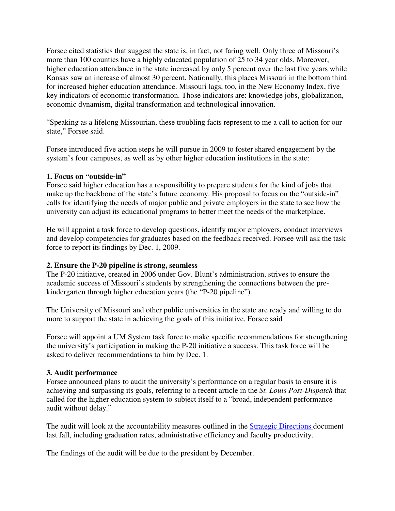Forsee cited statistics that suggest the state is, in fact, not faring well. Only three of Missouri's more than 100 counties have a highly educated population of 25 to 34 year olds. Moreover, higher education attendance in the state increased by only 5 percent over the last five years while Kansas saw an increase of almost 30 percent. Nationally, this places Missouri in the bottom third for increased higher education attendance. Missouri lags, too, in the New Economy Index, five key indicators of economic transformation. Those indicators are: knowledge jobs, globalization, economic dynamism, digital transformation and technological innovation.

"Speaking as a lifelong Missourian, these troubling facts represent to me a call to action for our state," Forsee said.

Forsee introduced five action steps he will pursue in 2009 to foster shared engagement by the system's four campuses, as well as by other higher education institutions in the state:

#### **1. Focus on "outside**‐**in"**

Forsee said higher education has a responsibility to prepare students for the kind of jobs that make up the backbone of the state's future economy. His proposal to focus on the "outside-in" calls for identifying the needs of major public and private employers in the state to see how the university can adjust its educational programs to better meet the needs of the marketplace.

He will appoint a task force to develop questions, identify major employers, conduct interviews and develop competencies for graduates based on the feedback received. Forsee will ask the task force to report its findings by Dec. 1, 2009.

### **2. Ensure the P-20 pipeline is strong, seamless**

The P-20 initiative, created in 2006 under Gov. Blunt's administration, strives to ensure the academic success of Missouri's students by strengthening the connections between the prekindergarten through higher education years (the "P-20 pipeline").

The University of Missouri and other public universities in the state are ready and willing to do more to support the state in achieving the goals of this initiative, Forsee said

Forsee will appoint a UM System task force to make specific recommendations for strengthening the university's participation in making the P-20 initiative a success. This task force will be asked to deliver recommendations to him by Dec. 1.

### **3. Audit performance**

Forsee announced plans to audit the university's performance on a regular basis to ensure it is achieving and surpassing its goals, referring to a recent article in the *St. Louis Post-Dispatch* that called for the higher education system to subject itself to a "broad, independent performance audit without delay."

The audit will look at the accountability measures outlined in the Strategic Directions document last fall, including graduation rates, administrative efficiency and faculty productivity.

The findings of the audit will be due to the president by December.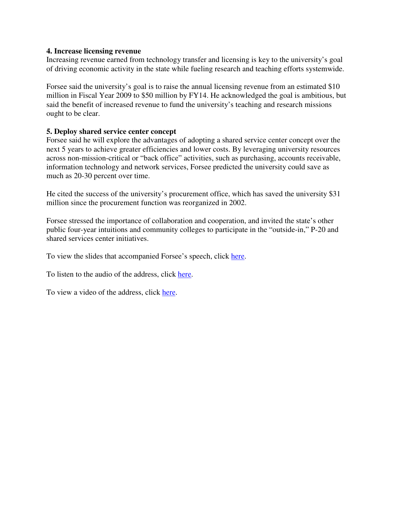#### **4. Increase licensing revenue**

Increasing revenue earned from technology transfer and licensing is key to the university's goal of driving economic activity in the state while fueling research and teaching efforts systemwide.

Forsee said the university's goal is to raise the annual licensing revenue from an estimated \$10 million in Fiscal Year 2009 to \$50 million by FY14. He acknowledged the goal is ambitious, but said the benefit of increased revenue to fund the university's teaching and research missions ought to be clear.

#### **5. Deploy shared service center concept**

Forsee said he will explore the advantages of adopting a shared service center concept over the next 5 years to achieve greater efficiencies and lower costs. By leveraging university resources across non-mission-critical or "back office" activities, such as purchasing, accounts receivable, information technology and network services, Forsee predicted the university could save as much as 20-30 percent over time.

He cited the success of the university's procurement office, which has saved the university \$31 million since the procurement function was reorganized in 2002.

Forsee stressed the importance of collaboration and cooperation, and invited the state's other public four-year intuitions and community colleges to participate in the "outside-in," P-20 and shared services center initiatives.

To view the slides that accompanied Forsee's speech, click here.

To listen to the audio of the address, click here.

To view a video of the address, click here.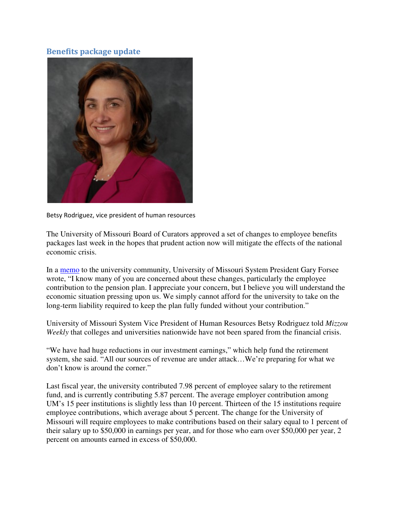### Benefits package update



Betsy Rodriguez, vice president of human resources

The University of Missouri Board of Curators approved a set of changes to employee benefits packages last week in the hopes that prudent action now will mitigate the effects of the national economic crisis.

In a memo to the university community, University of Missouri System President Gary Forsee wrote, "I know many of you are concerned about these changes, particularly the employee contribution to the pension plan. I appreciate your concern, but I believe you will understand the economic situation pressing upon us. We simply cannot afford for the university to take on the long-term liability required to keep the plan fully funded without your contribution."

University of Missouri System Vice President of Human Resources Betsy Rodriguez told *Mizzou Weekly* that colleges and universities nationwide have not been spared from the financial crisis.

"We have had huge reductions in our investment earnings," which help fund the retirement system, she said. "All our sources of revenue are under attack…We're preparing for what we don't know is around the corner."

Last fiscal year, the university contributed 7.98 percent of employee salary to the retirement fund, and is currently contributing 5.87 percent. The average employer contribution among UM's 15 peer institutions is slightly less than 10 percent. Thirteen of the 15 institutions require employee contributions, which average about 5 percent. The change for the University of Missouri will require employees to make contributions based on their salary equal to 1 percent of their salary up to \$50,000 in earnings per year, and for those who earn over \$50,000 per year, 2 percent on amounts earned in excess of \$50,000.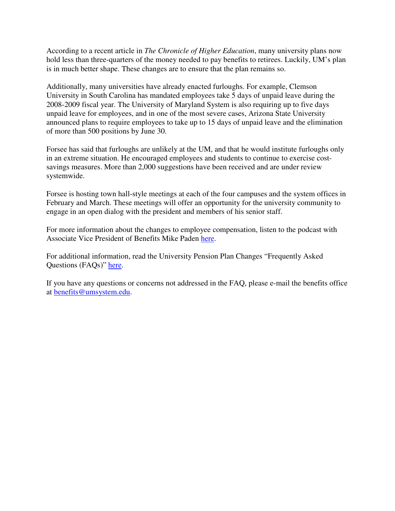According to a recent article in *The Chronicle of Higher Education*, many university plans now hold less than three-quarters of the money needed to pay benefits to retirees. Luckily, UM's plan is in much better shape. These changes are to ensure that the plan remains so.

Additionally, many universities have already enacted furloughs. For example, Clemson University in South Carolina has mandated employees take 5 days of unpaid leave during the 2008-2009 fiscal year. The University of Maryland System is also requiring up to five days unpaid leave for employees, and in one of the most severe cases, Arizona State University announced plans to require employees to take up to 15 days of unpaid leave and the elimination of more than 500 positions by June 30.

Forsee has said that furloughs are unlikely at the UM, and that he would institute furloughs only in an extreme situation. He encouraged employees and students to continue to exercise costsavings measures. More than 2,000 suggestions have been received and are under review systemwide.

Forsee is hosting town hall-style meetings at each of the four campuses and the system offices in February and March. These meetings will offer an opportunity for the university community to engage in an open dialog with the president and members of his senior staff.

For more information about the changes to employee compensation, listen to the podcast with Associate Vice President of Benefits Mike Paden here.

For additional information, read the University Pension Plan Changes "Frequently Asked Questions (FAQs)" here.

If you have any questions or concerns not addressed in the FAQ, please e-mail the benefits office at benefits@umsystem.edu.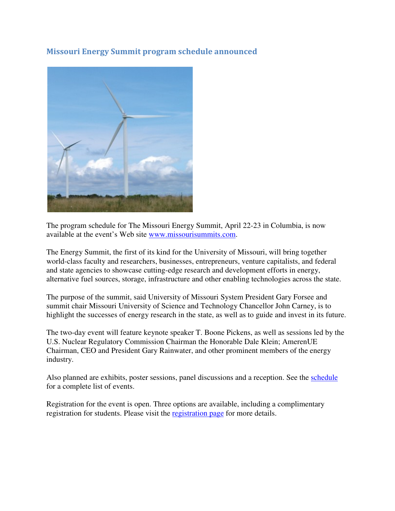# Missouri Energy Summit program schedule announced



The program schedule for The Missouri Energy Summit, April 22-23 in Columbia, is now available at the event's Web site www.missourisummits.com.

The Energy Summit, the first of its kind for the University of Missouri, will bring together world-class faculty and researchers, businesses, entrepreneurs, venture capitalists, and federal and state agencies to showcase cutting-edge research and development efforts in energy, alternative fuel sources, storage, infrastructure and other enabling technologies across the state.

The purpose of the summit, said University of Missouri System President Gary Forsee and summit chair Missouri University of Science and Technology Chancellor John Carney, is to highlight the successes of energy research in the state, as well as to guide and invest in its future.

The two-day event will feature keynote speaker T. Boone Pickens, as well as sessions led by the U.S. Nuclear Regulatory Commission Chairman the Honorable Dale Klein; AmerenUE Chairman, CEO and President Gary Rainwater, and other prominent members of the energy industry.

Also planned are exhibits, poster sessions, panel discussions and a reception. See the schedule for a complete list of events.

Registration for the event is open. Three options are available, including a complimentary registration for students. Please visit the registration page for more details.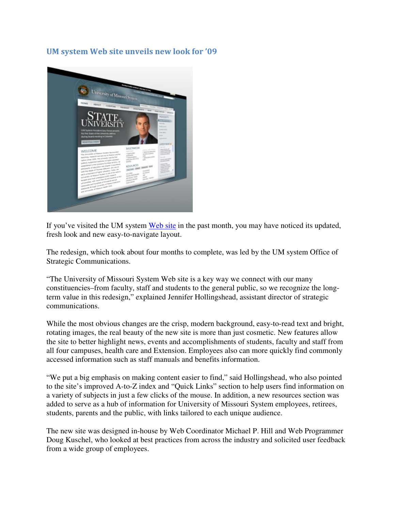## UM system Web site unveils new look for '09



If you've visited the UM system Web site in the past month, you may have noticed its updated, fresh look and new easy-to-navigate layout.

The redesign, which took about four months to complete, was led by the UM system Office of Strategic Communications.

"The University of Missouri System Web site is a key way we connect with our many constituencies–from faculty, staff and students to the general public, so we recognize the longterm value in this redesign," explained Jennifer Hollingshead, assistant director of strategic communications.

While the most obvious changes are the crisp, modern background, easy-to-read text and bright, rotating images, the real beauty of the new site is more than just cosmetic. New features allow the site to better highlight news, events and accomplishments of students, faculty and staff from all four campuses, health care and Extension. Employees also can more quickly find commonly accessed information such as staff manuals and benefits information.

"We put a big emphasis on making content easier to find," said Hollingshead, who also pointed to the site's improved A-to-Z index and "Quick Links" section to help users find information on a variety of subjects in just a few clicks of the mouse. In addition, a new resources section was added to serve as a hub of information for University of Missouri System employees, retirees, students, parents and the public, with links tailored to each unique audience.

The new site was designed in-house by Web Coordinator Michael P. Hill and Web Programmer Doug Kuschel, who looked at best practices from across the industry and solicited user feedback from a wide group of employees.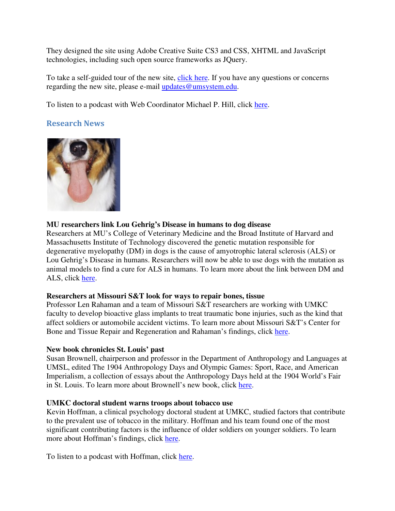They designed the site using Adobe Creative Suite CS3 and CSS, XHTML and JavaScript technologies, including such open source frameworks as JQuery.

To take a self-guided tour of the new site, click here. If you have any questions or concerns regarding the new site, please e-mail updates@umsystem.edu.

To listen to a podcast with Web Coordinator Michael P. Hill, click here.

## Research News



### **MU researchers link Lou Gehrig's Disease in humans to dog disease**

Researchers at MU's College of Veterinary Medicine and the Broad Institute of Harvard and Massachusetts Institute of Technology discovered the genetic mutation responsible for degenerative myelopathy (DM) in dogs is the cause of amyotrophic lateral sclerosis (ALS) or Lou Gehrig's Disease in humans. Researchers will now be able to use dogs with the mutation as animal models to find a cure for ALS in humans. To learn more about the link between DM and ALS, click here.

#### **Researchers at Missouri S&T look for ways to repair bones, tissue**

Professor Len Rahaman and a team of Missouri S&T researchers are working with UMKC faculty to develop bioactive glass implants to treat traumatic bone injuries, such as the kind that affect soldiers or automobile accident victims. To learn more about Missouri S&T's Center for Bone and Tissue Repair and Regeneration and Rahaman's findings, click here.

#### **New book chronicles St. Louis' past**

Susan Brownell, chairperson and professor in the Department of Anthropology and Languages at UMSL, edited The 1904 Anthropology Days and Olympic Games: Sport, Race, and American Imperialism, a collection of essays about the Anthropology Days held at the 1904 World's Fair in St. Louis. To learn more about Brownell's new book, click here.

#### **UMKC doctoral student warns troops about tobacco use**

Kevin Hoffman, a clinical psychology doctoral student at UMKC, studied factors that contribute to the prevalent use of tobacco in the military. Hoffman and his team found one of the most significant contributing factors is the influence of older soldiers on younger soldiers. To learn more about Hoffman's findings, click here.

To listen to a podcast with Hoffman, click here.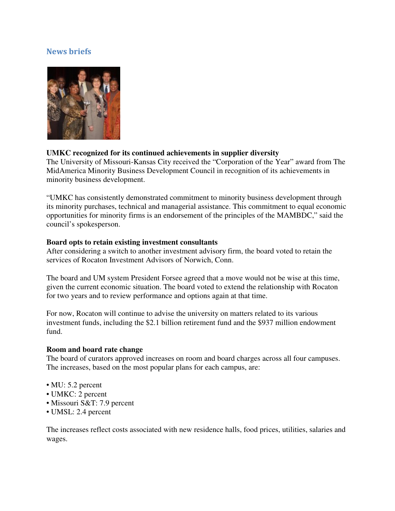## News briefs



## **UMKC recognized for its continued achievements in supplier diversity**

The University of Missouri-Kansas City received the "Corporation of the Year" award from The MidAmerica Minority Business Development Council in recognition of its achievements in minority business development.

"UMKC has consistently demonstrated commitment to minority business development through its minority purchases, technical and managerial assistance. This commitment to equal economic opportunities for minority firms is an endorsement of the principles of the MAMBDC," said the council's spokesperson.

#### **Board opts to retain existing investment consultants**

After considering a switch to another investment advisory firm, the board voted to retain the services of Rocaton Investment Advisors of Norwich, Conn.

The board and UM system President Forsee agreed that a move would not be wise at this time, given the current economic situation. The board voted to extend the relationship with Rocaton for two years and to review performance and options again at that time.

For now, Rocaton will continue to advise the university on matters related to its various investment funds, including the \$2.1 billion retirement fund and the \$937 million endowment fund.

#### **Room and board rate change**

The board of curators approved increases on room and board charges across all four campuses. The increases, based on the most popular plans for each campus, are:

- MU: 5.2 percent
- UMKC: 2 percent
- Missouri S&T: 7.9 percent
- UMSL: 2.4 percent

The increases reflect costs associated with new residence halls, food prices, utilities, salaries and wages.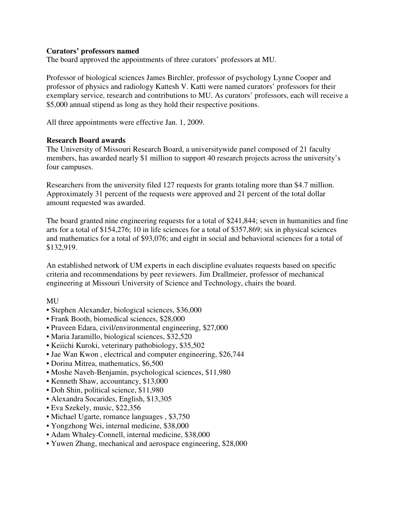#### **Curators' professors named**

The board approved the appointments of three curators' professors at MU.

Professor of biological sciences James Birchler, professor of psychology Lynne Cooper and professor of physics and radiology Kattesh V. Katti were named curators' professors for their exemplary service, research and contributions to MU. As curators' professors, each will receive a \$5,000 annual stipend as long as they hold their respective positions.

All three appointments were effective Jan. 1, 2009.

#### **Research Board awards**

The University of Missouri Research Board, a universitywide panel composed of 21 faculty members, has awarded nearly \$1 million to support 40 research projects across the university's four campuses.

Researchers from the university filed 127 requests for grants totaling more than \$4.7 million. Approximately 31 percent of the requests were approved and 21 percent of the total dollar amount requested was awarded.

The board granted nine engineering requests for a total of \$241,844; seven in humanities and fine arts for a total of \$154,276; 10 in life sciences for a total of \$357,869; six in physical sciences and mathematics for a total of \$93,076; and eight in social and behavioral sciences for a total of \$132,919.

An established network of UM experts in each discipline evaluates requests based on specific criteria and recommendations by peer reviewers. Jim Drallmeier, professor of mechanical engineering at Missouri University of Science and Technology, chairs the board.

#### MU

- Stephen Alexander, biological sciences, \$36,000
- Frank Booth, biomedical sciences, \$28,000
- Praveen Edara, civil/environmental engineering, \$27,000
- Maria Jaramillo, biological sciences, \$32,520
- Keiichi Kuroki, veterinary pathobiology, \$35,502
- Jae Wan Kwon , electrical and computer engineering, \$26,744
- Dorina Mitrea, mathematics, \$6,500
- Moshe Naveh-Benjamin, psychological sciences, \$11,980
- Kenneth Shaw, accountancy, \$13,000
- Doh Shin, political science, \$11,980
- Alexandra Socarides, English, \$13,305
- Eva Szekely, music, \$22,356
- Michael Ugarte, romance languages , \$3,750
- Yongzhong Wei, internal medicine, \$38,000
- Adam Whaley-Connell, internal medicine, \$38,000
- Yuwen Zhang, mechanical and aerospace engineering, \$28,000